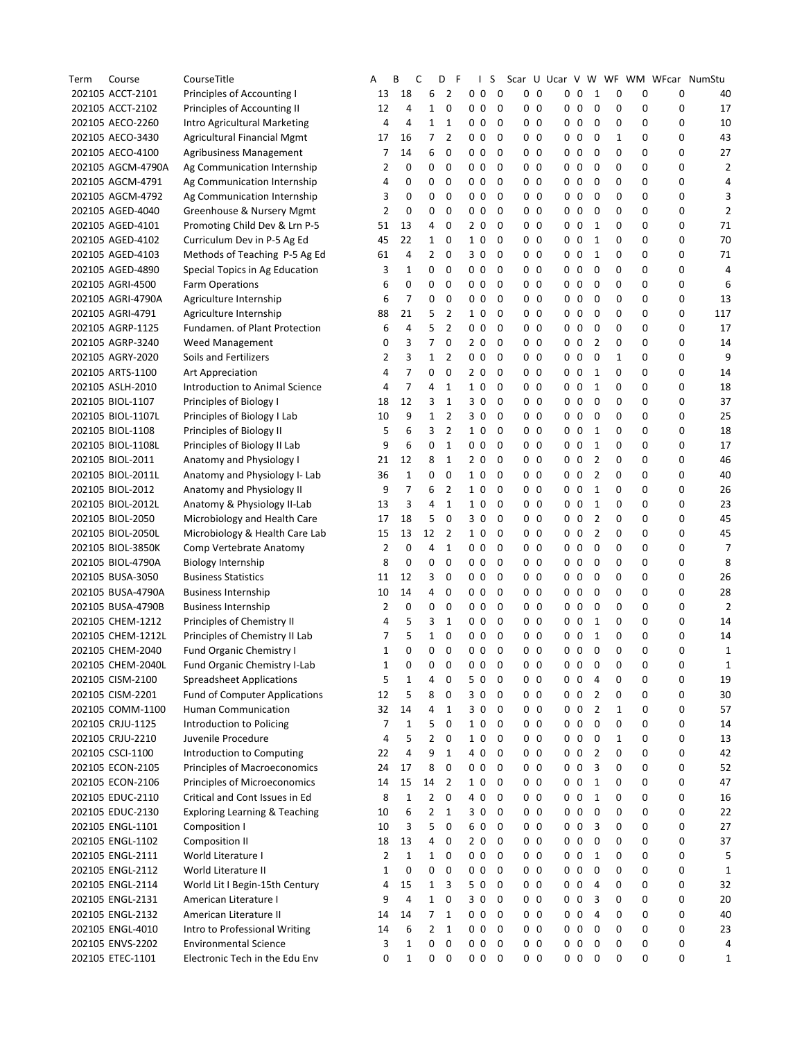| Term | Course            | CourseTitle                          | Α  | В              | С              | D              | F | T                           | S | Scar           |    |                |            |                |   |   |   | U Ucar V W WF WM WFcar NumStu |
|------|-------------------|--------------------------------------|----|----------------|----------------|----------------|---|-----------------------------|---|----------------|----|----------------|------------|----------------|---|---|---|-------------------------------|
|      | 202105 ACCT-2101  | Principles of Accounting I           | 13 | 18             | 6              | 2              |   | 0 <sub>0</sub>              | 0 | 00             |    |                | $0\quad 0$ | 1              | 0 | 0 | 0 | 40                            |
|      | 202105 ACCT-2102  | Principles of Accounting II          | 12 | 4              | 1              | 0              |   | 0 <sub>0</sub>              | 0 | 0 <sub>0</sub> |    |                | $0\quad 0$ | 0              | 0 | 0 | 0 | 17                            |
|      | 202105 AECO-2260  | Intro Agricultural Marketing         | 4  | 4              | 1              | 1              |   | 0 <sub>0</sub>              | 0 | 00             |    | 0 <sub>0</sub> |            | 0              | 0 | 0 | 0 | 10                            |
|      | 202105 AECO-3430  | <b>Agricultural Financial Mgmt</b>   | 17 | 16             | 7              | $\overline{2}$ |   | 0 <sub>0</sub>              | 0 | 00             |    | 0 <sub>0</sub> |            | 0              | 1 | 0 | 0 | 43                            |
|      | 202105 AECO-4100  | Agribusiness Management              | 7  | 14             | 6              | 0              |   | 0 <sub>0</sub>              | 0 | 00             |    | 0 <sub>0</sub> |            | 0              | 0 | 0 | 0 | 27                            |
|      | 202105 AGCM-4790A | Ag Communication Internship          | 2  | 0              | 0              | 0              |   | 0 <sub>0</sub>              | 0 | 00             |    | 0 <sub>0</sub> |            | 0              | 0 | 0 | 0 | 2                             |
|      | 202105 AGCM-4791  | Ag Communication Internship          | 4  | 0              | 0              | 0              |   | 0 <sub>0</sub>              | 0 | 0 <sub>0</sub> |    | $0\quad 0$     |            | 0              | 0 | 0 | 0 | 4                             |
|      | 202105 AGCM-4792  | Ag Communication Internship          | 3  | 0              | 0              | 0              |   | 0 <sub>0</sub>              | 0 |                | 00 | 0 <sub>0</sub> |            | 0              | 0 | 0 | 0 | 3                             |
|      | 202105 AGED-4040  | Greenhouse & Nursery Mgmt            | 2  | 0              | 0              | 0              |   | 0 <sub>0</sub>              | 0 | 00             |    | $0\quad 0$     |            | 0              | 0 | 0 | 0 | 2                             |
|      | 202105 AGED-4101  | Promoting Child Dev & Lrn P-5        | 51 | 13             | 4              | 0              |   | 2 <sub>0</sub>              | 0 | 00             |    | 0 <sub>0</sub> |            | 1              | 0 | 0 | 0 | 71                            |
|      | 202105 AGED-4102  | Curriculum Dev in P-5 Ag Ed          | 45 | 22             | 1              | 0              |   | $\mathbf 0$<br>$\mathbf{1}$ | 0 | 00             |    | 0 <sub>0</sub> |            | 1              | 0 | 0 | 0 | 70                            |
|      | 202105 AGED-4103  | Methods of Teaching P-5 Ag Ed        | 61 | 4              | 2              | 0              |   | 30                          | 0 | 00             |    | 0 <sub>0</sub> |            | 1              | 0 | 0 | 0 | 71                            |
|      | 202105 AGED-4890  | Special Topics in Ag Education       | 3  | 1              | 0              | 0              |   | 0 <sub>0</sub>              | 0 | 0 <sub>0</sub> |    | 0 <sub>0</sub> |            | 0              | 0 | 0 | 0 | 4                             |
|      | 202105 AGRI-4500  | Farm Operations                      | 6  | 0              | 0              | 0              |   | 0 <sub>0</sub>              | 0 | 00             |    | 0 <sub>0</sub> |            | 0              | 0 | 0 | 0 | 6                             |
|      | 202105 AGRI-4790A | Agriculture Internship               | 6  | 7              | 0              | 0              |   | 0 <sub>0</sub>              | 0 |                | 00 | 0 <sub>0</sub> |            | 0              | 0 | 0 | 0 | 13                            |
|      | 202105 AGRI-4791  | Agriculture Internship               | 88 | 21             | 5              | 2              |   | 1 <sub>0</sub>              | 0 | 00             |    | 0 <sub>0</sub> |            | 0              | 0 | 0 | 0 | 117                           |
|      | 202105 AGRP-1125  | Fundamen. of Plant Protection        | 6  | 4              | 5              | 2              |   | 0 <sub>0</sub>              | 0 |                | 00 | 0 <sub>0</sub> |            | 0              | 0 | 0 | 0 | 17                            |
|      |                   |                                      | 0  | 3              | 7              | 0              |   | 2 <sub>0</sub>              | 0 | 00             |    | 0 <sub>0</sub> |            | 2              | 0 | 0 | 0 | 14                            |
|      | 202105 AGRP-3240  | Weed Management                      |    |                |                |                |   |                             |   |                |    |                |            |                |   |   |   |                               |
|      | 202105 AGRY-2020  | Soils and Fertilizers                | 2  | 3              | 1              | 2              |   | 0 <sub>0</sub>              | 0 | 00             |    | 0 <sub>0</sub> |            | 0              | 1 | 0 | 0 | 9                             |
|      | 202105 ARTS-1100  | Art Appreciation                     | 4  | $\overline{7}$ | 0              | 0              |   | 2 <sub>0</sub>              | 0 | 00             |    | 0 <sub>0</sub> |            | 1              | 0 | 0 | 0 | 14                            |
|      | 202105 ASLH-2010  | Introduction to Animal Science       | 4  | 7              | 4              | 1              |   | 1 0                         | 0 | 0 <sub>0</sub> |    | $0\quad 0$     |            | 1              | 0 | 0 | 0 | 18                            |
|      | 202105 BIOL-1107  | Principles of Biology I              | 18 | 12             | 3              | 1              |   | 3 0                         | 0 |                | 00 | 0 <sub>0</sub> |            | 0              | 0 | 0 | 0 | 37                            |
|      | 202105 BIOL-1107L | Principles of Biology I Lab          | 10 | 9              | 1              | 2              |   | 30                          | 0 | 00             |    | 0 <sub>0</sub> |            | 0              | 0 | 0 | 0 | 25                            |
|      | 202105 BIOL-1108  | Principles of Biology II             | 5  | 6              | 3              | 2              |   | 1 <sub>0</sub>              | 0 | 0              | 0  | $0\quad 0$     |            | 1              | 0 | 0 | 0 | 18                            |
|      | 202105 BIOL-1108L | Principles of Biology II Lab         | 9  | 6              | 0              | $\mathbf 1$    |   | 0 <sub>0</sub>              | 0 | 0              | 0  | 0 <sub>0</sub> |            | 1              | 0 | 0 | 0 | 17                            |
|      | 202105 BIOL-2011  | Anatomy and Physiology I             | 21 | 12             | 8              | 1              |   | 20                          | 0 | 00             |    | 0 <sub>0</sub> |            | 2              | 0 | 0 | 0 | 46                            |
|      | 202105 BIOL-2011L | Anatomy and Physiology I- Lab        | 36 | $\mathbf 1$    | 0              | 0              |   | 1 <sub>0</sub>              | 0 | 00             |    | 0 <sub>0</sub> |            | $\overline{2}$ | 0 | 0 | 0 | 40                            |
|      | 202105 BIOL-2012  | Anatomy and Physiology II            | 9  | 7              | 6              | 2              |   | 1 0                         | 0 | 0              | 0  | 0 <sub>0</sub> |            | 1              | 0 | 0 | 0 | 26                            |
|      | 202105 BIOL-2012L | Anatomy & Physiology II-Lab          | 13 | 3              | 4              | $\mathbf{1}$   |   | 1 <sub>0</sub>              | 0 | 00             |    | 0 <sub>0</sub> |            | $\mathbf 1$    | 0 | 0 | 0 | 23                            |
|      | 202105 BIOL-2050  | Microbiology and Health Care         | 17 | 18             | 5              | 0              |   | 30                          | 0 | 00             |    | 0 <sub>0</sub> |            | 2              | 0 | 0 | 0 | 45                            |
|      | 202105 BIOL-2050L | Microbiology & Health Care Lab       | 15 | 13             | 12             | $\overline{2}$ |   | 1 <sub>0</sub>              | 0 | 00             |    | 0 <sub>0</sub> |            | 2              | 0 | 0 | 0 | 45                            |
|      | 202105 BIOL-3850K | Comp Vertebrate Anatomy              | 2  | 0              | 4              | 1              |   | 0 <sub>0</sub>              | 0 | 00             |    | 0 <sub>0</sub> |            | 0              | 0 | 0 | 0 | 7                             |
|      | 202105 BIOL-4790A | <b>Biology Internship</b>            | 8  | 0              | 0              | 0              |   | 0 <sub>0</sub>              | 0 | 00             |    | 0 <sub>0</sub> |            | 0              | 0 | 0 | 0 | 8                             |
|      | 202105 BUSA-3050  | <b>Business Statistics</b>           | 11 | 12             | 3              | 0              |   | 0 <sub>0</sub>              | 0 | 00             |    | 0 <sub>0</sub> |            | 0              | 0 | 0 | 0 | 26                            |
|      | 202105 BUSA-4790A | <b>Business Internship</b>           | 10 | 14             | 4              | 0              |   | 0 <sub>0</sub>              | 0 | 0 <sub>0</sub> |    | 0 <sub>0</sub> |            | 0              | 0 | 0 | 0 | 28                            |
|      | 202105 BUSA-4790B | <b>Business Internship</b>           | 2  | 0              | 0              | 0              |   | 0 <sub>0</sub>              | 0 | 00             |    | 0 <sub>0</sub> |            | 0              | 0 | 0 | 0 | 2                             |
|      | 202105 CHEM-1212  | Principles of Chemistry II           | 4  | 5              | 3              | 1              |   | 0 <sub>0</sub>              | 0 |                | 00 | 0 <sub>0</sub> |            | 1              | 0 | 0 | 0 | 14                            |
|      | 202105 CHEM-1212L | Principles of Chemistry II Lab       | 7  | 5              | 1              | 0              |   | 0 <sub>0</sub>              | 0 | 0              | 0  | $0\quad 0$     |            | 1              | 0 | 0 | 0 | 14                            |
|      | 202105 CHEM-2040  | <b>Fund Organic Chemistry I</b>      | 1  | 0              | 0              | 0              |   | 0 <sub>0</sub>              | 0 | 00             |    | 0 <sub>0</sub> |            | 0              | 0 | 0 | 0 | 1                             |
|      | 202105 CHEM-2040L | Fund Organic Chemistry I-Lab         | 1  | 0              | 0              | 0              |   | 0<br>0                      | 0 | 00             |    | 0              | 0          | 0              | 0 | 0 | 0 | 1                             |
|      | 202105 CISM-2100  | <b>Spreadsheet Applications</b>      | 5  | 1              | 4              | 0              |   | 50                          | 0 | 00             |    | 0 <sub>0</sub> |            | 4              | 0 | 0 | 0 | 19                            |
|      | 202105 CISM-2201  | <b>Fund of Computer Applications</b> | 12 | 5              | 8              | 0              |   | 30                          | 0 | 00             |    | 0 <sub>0</sub> |            | $\overline{2}$ | 0 | 0 | 0 | 30                            |
|      | 202105 COMM-1100  | Human Communication                  | 32 | 14             | 4              | 1              |   | 3 0                         | 0 | 0              | 0  | 0 <sub>0</sub> |            | $\overline{2}$ | 1 | 0 | 0 | 57                            |
|      | 202105 CRJU-1125  | Introduction to Policing             | 7  | 1              | 5              | 0              |   | 1 0                         | 0 |                | 00 | 0 <sub>0</sub> |            | 0              | 0 | 0 | 0 | 14                            |
|      | 202105 CRJU-2210  | Juvenile Procedure                   | 4  | 5              | 2              | 0              |   | 1 0                         | 0 |                | 00 | $0\quad 0$     |            | 0              | 1 | 0 | 0 | 13                            |
|      | 202105 CSCI-1100  | Introduction to Computing            | 22 | 4              | 9              | 1              |   | 4 0                         | 0 |                | 00 | 0 <sub>0</sub> |            | 2              | 0 | 0 | 0 | 42                            |
|      | 202105 ECON-2105  | Principles of Macroeconomics         | 24 | 17             | 8              | 0              |   | 0 <sub>0</sub>              | 0 |                | 00 | 0 <sub>0</sub> |            | 3              | 0 | 0 | 0 | 52                            |
|      | 202105 ECON-2106  | Principles of Microeconomics         | 14 | 15             | 14             | $\overline{2}$ |   | 1 <sub>0</sub>              | 0 | 00             |    | 0 <sub>0</sub> |            | 1              | 0 | 0 | 0 | 47                            |
|      | 202105 EDUC-2110  | Critical and Cont Issues in Ed       | 8  | $\mathbf{1}$   | $\overline{2}$ | $\mathbf 0$    |   | 4 0                         | 0 | 00             |    | 0 <sub>0</sub> |            | 1              | 0 | 0 | 0 | 16                            |
|      | 202105 EDUC-2130  | Exploring Learning & Teaching        | 10 | 6              | 2              | 1              |   | 30                          | 0 |                | 00 | $0\quad 0$     |            | 0              | 0 | 0 | 0 | 22                            |
|      |                   |                                      | 10 | 3              | 5              | $\mathbf 0$    |   | 6 0                         | 0 |                |    | $0\quad 0$     |            | 3              | 0 | 0 | 0 | 27                            |
|      | 202105 ENGL-1101  | Composition I                        | 18 | 13             |                | 0              |   | 20                          | 0 |                | 00 | 0 <sub>0</sub> |            | 0              | 0 | 0 | 0 | 37                            |
|      | 202105 ENGL-1102  | <b>Composition II</b>                |    |                | 4              |                |   |                             |   |                | 00 |                |            |                |   |   |   |                               |
|      | 202105 ENGL-2111  | World Literature I                   | 2  | 1              | $\mathbf{1}$   | 0              |   | 0 <sub>0</sub>              | 0 |                | 00 | 0 <sub>0</sub> |            | 1              | 0 | 0 | 0 | 5                             |
|      | 202105 ENGL-2112  | World Literature II                  | 1  | 0              | 0              | 0              |   | 0 <sub>0</sub>              | 0 | 00             |    | 0 <sub>0</sub> |            | 0              | 0 | 0 | 0 | 1                             |
|      | 202105 ENGL-2114  | World Lit I Begin-15th Century       | 4  | 15             | 1              | 3              |   | 5 0                         | 0 |                | 00 | 0 <sub>0</sub> |            | 4              | 0 | 0 | 0 | 32                            |
|      | 202105 ENGL-2131  | American Literature I                | 9  | 4              | $\mathbf{1}$   | 0              |   | 30                          | 0 | 00             |    | 0 <sub>0</sub> |            | 3              | 0 | 0 | 0 | 20                            |
|      | 202105 ENGL-2132  | American Literature II               | 14 | 14             | 7              | 1              |   | 0 <sub>0</sub>              | 0 |                | 00 |                | $0\quad 0$ | 4              | 0 | 0 | 0 | 40                            |
|      | 202105 ENGL-4010  | Intro to Professional Writing        | 14 | 6              | 2              | 1              |   | 0 <sub>0</sub>              | 0 |                | 00 | $0\quad 0$     |            | 0              | 0 | 0 | 0 | 23                            |
|      | 202105 ENVS-2202  | <b>Environmental Science</b>         | 3  | 1              | 0              | 0              |   | 0 <sub>0</sub>              | 0 |                | 00 | 0 <sub>0</sub> |            | 0              | 0 | 0 | 0 | 4                             |
|      | 202105 ETEC-1101  | Electronic Tech in the Edu Env       | 0  | 1              | 0              | 0              |   | 000                         |   |                | 00 | 0 <sub>0</sub> |            | 0              | 0 | 0 | 0 | 1                             |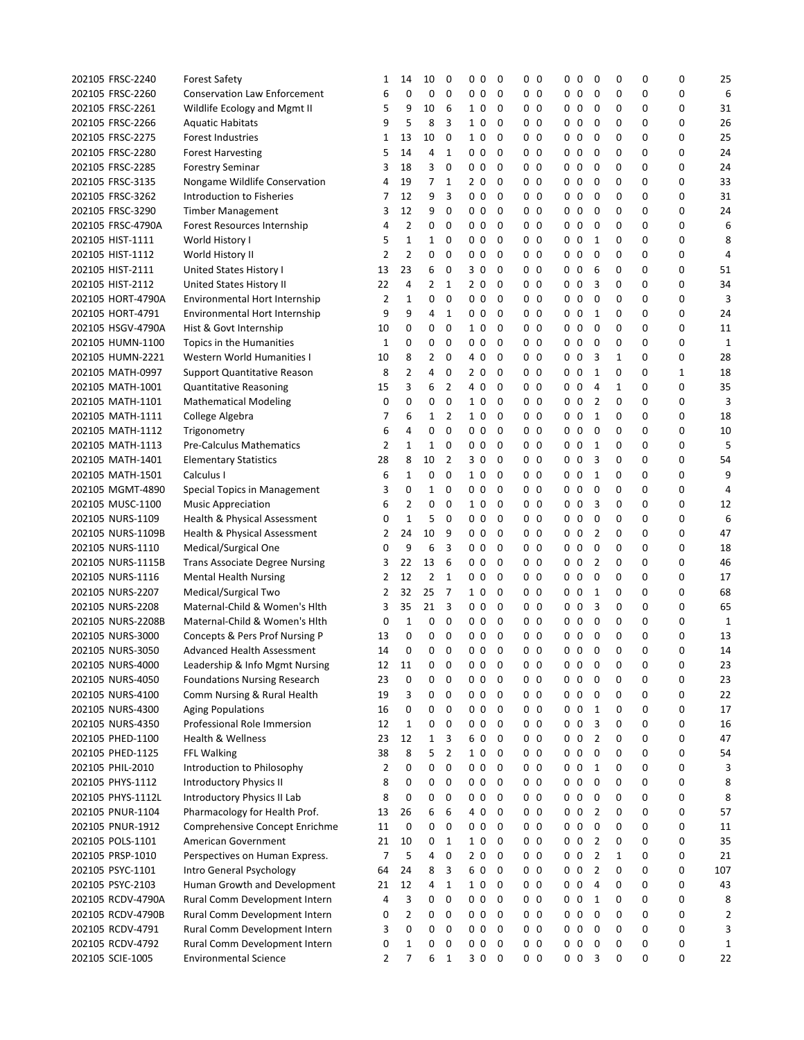| 202105 FRSC-2240  | <b>Forest Safety</b>                  | 1              | 14             | 10             | 0              | 0<br>0         | 0 | 00               | 00             | 0              | 0 | 0 | 0 | 25  |
|-------------------|---------------------------------------|----------------|----------------|----------------|----------------|----------------|---|------------------|----------------|----------------|---|---|---|-----|
| 202105 FRSC-2260  | <b>Conservation Law Enforcement</b>   | 6              | 0              | 0              | 0              | 0 <sub>0</sub> | 0 | 0 <sub>0</sub>   | 0 <sub>0</sub> | 0              | 0 | 0 | 0 | 6   |
| 202105 FRSC-2261  | Wildlife Ecology and Mgmt II          | 5              | 9              | 10             | 6              | 1 <sub>0</sub> | 0 | $0\quad 0$       | 0 <sub>0</sub> | 0              | 0 | 0 | 0 | 31  |
| 202105 FRSC-2266  | <b>Aquatic Habitats</b>               | 9              | 5              | 8              | 3              | 1 <sub>0</sub> | 0 | 0<br>0           | 0 <sub>0</sub> | 0              | 0 | 0 | 0 | 26  |
| 202105 FRSC-2275  | Forest Industries                     | 1              | 13             | 10             | 0              | 1 <sub>0</sub> | 0 | 0<br>0           | 0 <sub>0</sub> | 0              | 0 | 0 | 0 | 25  |
| 202105 FRSC-2280  | <b>Forest Harvesting</b>              | 5              | 14             | 4              | 1              | 0 <sub>0</sub> | 0 | 0<br>0           | 0 <sub>0</sub> | 0              | 0 | 0 | 0 | 24  |
| 202105 FRSC-2285  | <b>Forestry Seminar</b>               | 3              | 18             | 3              | 0              | 0 <sub>0</sub> | 0 | 0<br>0           | 0 <sub>0</sub> | 0              | 0 | 0 | 0 | 24  |
| 202105 FRSC-3135  | Nongame Wildlife Conservation         | 4              | 19             | 7              | 1              | 2 <sub>0</sub> | 0 | 0<br>0           | 0 <sub>0</sub> | 0              | 0 | 0 | 0 | 33  |
| 202105 FRSC-3262  | Introduction to Fisheries             | 7              | 12             | 9              | 3              | 0 <sub>0</sub> | 0 | 0 <sub>0</sub>   | 0 <sub>0</sub> | 0              | 0 | 0 | 0 | 31  |
| 202105 FRSC-3290  | <b>Timber Management</b>              | 3              | 12             | 9              | 0              | 0 <sub>0</sub> | 0 | $0\quad 0$       | 0 <sub>0</sub> | 0              | 0 | 0 | 0 | 24  |
| 202105 FRSC-4790A | Forest Resources Internship           | 4              | 2              | 0              | 0              | 0 <sub>0</sub> | 0 | 0<br>0           | 0 <sub>0</sub> | 0              | 0 | 0 | 0 | 6   |
| 202105 HIST-1111  | World History I                       | 5              | 1              | 1              | 0              | 0 <sub>0</sub> | 0 | 0<br>0           | 0 <sub>0</sub> | 1              | 0 | 0 | 0 | 8   |
| 202105 HIST-1112  | World History II                      | $\overline{2}$ | $\overline{2}$ | 0              | 0              | 0 <sub>0</sub> | 0 | 0<br>0           | 0 <sub>0</sub> | 0              | 0 | 0 | 0 | 4   |
| 202105 HIST-2111  | United States History I               | 13             | 23             | 6              | 0              | 30             | 0 | 0<br>0           | 0 <sub>0</sub> | 6              | 0 | 0 | 0 | 51  |
| 202105 HIST-2112  | United States History II              | 22             | 4              | 2              | 1              | 2 <sub>0</sub> | 0 | 0<br>0           | 0 <sub>0</sub> | 3              | 0 | 0 | 0 | 34  |
| 202105 HORT-4790A | Environmental Hort Internship         | 2              | $\mathbf{1}$   | 0              | 0              | 0 <sub>0</sub> | 0 | $0\quad 0$       | 0 <sub>0</sub> | 0              | 0 | 0 | 0 | 3   |
| 202105 HORT-4791  | Environmental Hort Internship         | 9              | 9              | 4              | 1              | 0 <sub>0</sub> | 0 | $0\quad 0$       | 0 <sub>0</sub> | 1              | 0 | 0 | 0 | 24  |
| 202105 HSGV-4790A | Hist & Govt Internship                | 10             | 0              | 0              | 0              | 1 <sub>0</sub> | 0 | 0<br>0           | 0 <sub>0</sub> | 0              | 0 | 0 | 0 | 11  |
| 202105 HUMN-1100  | Topics in the Humanities              | 1              | 0              | 0              | 0              | 0 <sub>0</sub> | 0 | 0<br>0           | 0 <sub>0</sub> | 0              | 0 | 0 | 0 | 1   |
|                   |                                       |                | 8              | 2              | 0              | 0              |   | 0                | 0 <sub>0</sub> |                |   |   | 0 | 28  |
| 202105 HUMN-2221  | Western World Humanities I            | 10             |                |                |                | 4              | 0 | 0                |                | 3              | 1 | 0 |   |     |
| 202105 MATH-0997  | <b>Support Quantitative Reason</b>    | 8              | $\overline{2}$ | 4              | 0              | 2 <sub>0</sub> | 0 | 0<br>0           | 0 <sub>0</sub> | 1              | 0 | 0 | 1 | 18  |
| 202105 MATH-1001  | Quantitative Reasoning                | 15             | 3              | 6              | $\overline{2}$ | 4 0            | 0 | 0<br>0           | 0 <sub>0</sub> | $\overline{4}$ | 1 | 0 | 0 | 35  |
| 202105 MATH-1101  | <b>Mathematical Modeling</b>          | 0              | 0              | 0              | 0              | 1 <sub>0</sub> | 0 | $0\quad 0$       | 0 <sub>0</sub> | 2              | 0 | 0 | 0 | 3   |
| 202105 MATH-1111  | College Algebra                       | 7              | 6              | $\mathbf{1}$   | 2              | 1 <sub>0</sub> | 0 | 0 <sub>0</sub>   | 0 <sub>0</sub> | 1              | 0 | 0 | 0 | 18  |
| 202105 MATH-1112  | Trigonometry                          | 6              | 4              | 0              | 0              | 0 <sub>0</sub> | 0 | 0<br>0           | 0 <sub>0</sub> | 0              | 0 | 0 | 0 | 10  |
| 202105 MATH-1113  | <b>Pre-Calculus Mathematics</b>       | 2              | 1              | 1              | 0              | 0 <sub>0</sub> | 0 | 0<br>0           | 0 <sub>0</sub> | 1              | 0 | 0 | 0 | 5   |
| 202105 MATH-1401  | <b>Elementary Statistics</b>          | 28             | 8              | 10             | $\overline{2}$ | 30             | 0 | 0<br>0           | 0 <sub>0</sub> | 3              | 0 | 0 | 0 | 54  |
| 202105 MATH-1501  | Calculus I                            | 6              | $\mathbf{1}$   | 0              | 0              | 1 <sub>0</sub> | 0 | 0<br>0           | 0 <sub>0</sub> | 1              | 0 | 0 | 0 | 9   |
| 202105 MGMT-4890  | Special Topics in Management          | 3              | 0              | 1              | 0              | 0 <sub>0</sub> | 0 | 0<br>0           | 0 <sub>0</sub> | 0              | 0 | 0 | 0 | 4   |
| 202105 MUSC-1100  | <b>Music Appreciation</b>             | 6              | $\overline{2}$ | 0              | 0              | 1 <sub>0</sub> | 0 | $0\quad 0$       | 0 <sub>0</sub> | 3              | 0 | 0 | 0 | 12  |
| 202105 NURS-1109  | Health & Physical Assessment          | 0              | $\mathbf{1}$   | 5              | 0              | 0 <sub>0</sub> | 0 | 0 <sub>0</sub>   | 0 <sub>0</sub> | 0              | 0 | 0 | 0 | 6   |
| 202105 NURS-1109B | Health & Physical Assessment          | 2              | 24             | 10             | 9              | 0 <sub>0</sub> | 0 | 0<br>0           | 0 <sub>0</sub> | $\overline{2}$ | 0 | 0 | 0 | 47  |
| 202105 NURS-1110  | Medical/Surgical One                  | 0              | 9              | 6              | 3              | 0 <sub>0</sub> | 0 | 0<br>0           | 0 <sub>0</sub> | 0              | 0 | 0 | 0 | 18  |
| 202105 NURS-1115B | <b>Trans Associate Degree Nursing</b> | 3              | 22             | 13             | 6              | 0 <sub>0</sub> | 0 | 0<br>0           | 0 <sub>0</sub> | $\overline{2}$ | 0 | 0 | 0 | 46  |
| 202105 NURS-1116  | <b>Mental Health Nursing</b>          | 2              | 12             | $\overline{2}$ | 1              | 0 <sub>0</sub> | 0 | 0<br>0           | 0 <sub>0</sub> | 0              | 0 | 0 | 0 | 17  |
| 202105 NURS-2207  | Medical/Surgical Two                  | 2              | 32             | 25             | $\overline{7}$ | 1 0            | 0 | 0<br>0           | 0 <sub>0</sub> | 1              | 0 | 0 | 0 | 68  |
| 202105 NURS-2208  | Maternal-Child & Women's Hith         | 3              | 35             | 21             | 3              | 0 <sub>0</sub> | 0 | 0 <sub>0</sub>   | 0 <sub>0</sub> | 3              | 0 | 0 | 0 | 65  |
| 202105 NURS-2208B | Maternal-Child & Women's Hith         | 0              | 1              | 0              | 0              | 0 <sub>0</sub> | 0 | 0 <sub>0</sub>   | 0 <sub>0</sub> | 0              | 0 | 0 | 0 | 1   |
| 202105 NURS-3000  | Concepts & Pers Prof Nursing P        | 13             | 0              | 0              | 0              | 0 <sub>0</sub> | 0 | 0 <sub>0</sub>   | 00             | 0              | 0 | 0 | 0 | 13  |
| 202105 NURS-3050  | Advanced Health Assessment            | 14             | 0              | 0              | 0              | 0 <sub>0</sub> | 0 | 0 <sub>0</sub>   | 0 <sub>0</sub> | 0              | 0 | 0 | 0 | 14  |
| 202105 NURS-4000  | Leadership & Info Mgmt Nursing        | 12             | 11             | 0              | 0              | 0<br>0         | 0 | $0\quad0$        | 0<br>0         | 0              | 0 | 0 | 0 | 23  |
| 202105 NURS-4050  | <b>Foundations Nursing Research</b>   | 23             | 0              | 0              | 0              | 0 <sub>0</sub> | 0 | $0\quad 0$       | 0 <sub>0</sub> | 0              | 0 | 0 | 0 | 23  |
| 202105 NURS-4100  | Comm Nursing & Rural Health           | 19             | 3              | 0              | 0              | 0 <sub>0</sub> | 0 | 0 <sub>0</sub>   | 0 <sub>0</sub> | 0              | 0 | 0 | 0 | 22  |
| 202105 NURS-4300  | <b>Aging Populations</b>              | 16             | 0              | 0              | 0              | 0 <sub>0</sub> | 0 | 0 <sub>0</sub>   | 0 <sub>0</sub> | 1              | 0 | 0 | 0 | 17  |
| 202105 NURS-4350  | Professional Role Immersion           | 12             | $\mathbf 1$    | 0              | 0              | 0 <sub>0</sub> | 0 | $0\quad 0$       | 0 <sub>0</sub> | 3              | 0 | 0 | 0 | 16  |
| 202105 PHED-1100  | <b>Health &amp; Wellness</b>          | 23             | 12             | 1              | 3              | 60             | 0 | 0 <sub>0</sub>   | 0 <sub>0</sub> | 2              | 0 | 0 | 0 | 47  |
| 202105 PHED-1125  | <b>FFL Walking</b>                    | 38             | 8              | 5              | 2              | 1 0            | 0 | 0 <sub>0</sub>   | 0 <sub>0</sub> | 0              | 0 | 0 | 0 | 54  |
| 202105 PHIL-2010  | Introduction to Philosophy            | 2              | 0              | 0              | 0              | 0 <sub>0</sub> | 0 | $\mathbf 0$<br>0 | 0 <sub>0</sub> | 1              | 0 | 0 | 0 | 3   |
| 202105 PHYS-1112  | <b>Introductory Physics II</b>        | 8              | 0              | 0              | 0              | 0 <sub>0</sub> | 0 | $0\quad 0$       | 0 <sub>0</sub> | 0              | 0 | 0 | 0 | 8   |
| 202105 PHYS-1112L | Introductory Physics II Lab           | 8              | 0              | 0              | 0              | 0 <sub>0</sub> | 0 | $0\quad 0$       | 0 <sub>0</sub> | 0              | 0 | 0 | 0 | 8   |
| 202105 PNUR-1104  | Pharmacology for Health Prof.         | 13             | 26             | 6              | 6              | 4 0            | 0 | 0 <sub>0</sub>   | 0 <sub>0</sub> | 2              | 0 | 0 | 0 | 57  |
| 202105 PNUR-1912  | Comprehensive Concept Enrichme        | 11             | 0              | 0              | 0              | 0 <sub>0</sub> | 0 | 0 <sub>0</sub>   | $0\quad 0$     | $\mathbf 0$    | 0 | 0 | 0 | 11  |
| 202105 POLS-1101  | American Government                   | 21             | 10             | 0              | $\mathbf{1}$   | 1 <sub>0</sub> | 0 | $0\quad 0$       | $0\quad 0$     | 2              | 0 | 0 | 0 | 35  |
| 202105 PRSP-1010  | Perspectives on Human Express.        | 7              | 5              | 4              | 0              | 20             | 0 | 0 <sub>0</sub>   | 0 <sub>0</sub> | 2              | 1 | 0 | 0 | 21  |
|                   |                                       | 64             | 24             | 8              | 3              | 6 0            | 0 | 0<br>0           | 0 <sub>0</sub> | $\overline{2}$ | 0 | 0 | 0 | 107 |
| 202105 PSYC-1101  | Intro General Psychology              |                |                |                |                |                |   |                  |                |                |   |   |   |     |
| 202105 PSYC-2103  | Human Growth and Development          | 21             | 12             | 4              | 1              | 10             | 0 | $0\quad 0$       | $0\quad 0$     | $\overline{4}$ | 0 | 0 | 0 | 43  |
| 202105 RCDV-4790A | Rural Comm Development Intern         | 4              | 3              | 0              | 0              | 0 <sub>0</sub> | 0 | $0\quad 0$       | 0 <sub>0</sub> | 1              | 0 | 0 | 0 | 8   |
| 202105 RCDV-4790B | Rural Comm Development Intern         | 0              | $\overline{2}$ | 0              | 0              | 0 <sub>0</sub> | 0 | 0 <sub>0</sub>   | 0 <sub>0</sub> | 0              | 0 | 0 | 0 | 2   |
| 202105 RCDV-4791  | Rural Comm Development Intern         | 3              | 0              | 0              | 0              | 0 <sub>0</sub> | 0 | 0 <sub>0</sub>   | 0 <sub>0</sub> | 0              | 0 | 0 | 0 | 3   |
| 202105 RCDV-4792  | Rural Comm Development Intern         | 0              | 1              | 0              | 0              | 0 <sub>0</sub> | 0 | 0 <sub>0</sub>   | 0 <sub>0</sub> | 0              | 0 | 0 | 0 | 1   |
| 202105 SCIE-1005  | <b>Environmental Science</b>          | 2              | 7              | 6              | $\mathbf{1}$   | 3 0            | 0 | $0\quad 0$       | $0\quad 0$     | 3              | 0 | 0 | 0 | 22  |